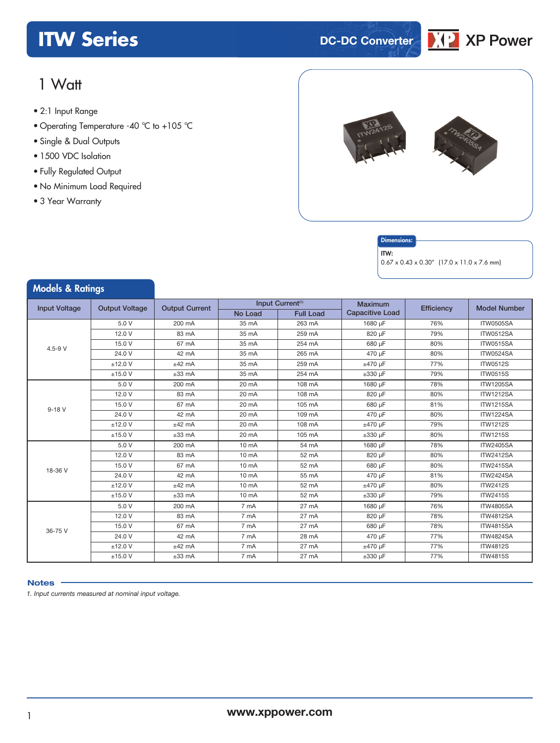### **ITW Series DC-DC** Converter



### 1 Watt

- **xxx Series** 2:1 Input Range
- Operating Temperature -40 °C to +105 °C
- Single & Dual Outputs
- 1500 VDC Isolation
- Fully Regulated Output
- No Minimum Load Required
- 3 Year Warranty



#### **Dimensions**

#### ITW:

0.67 x 0.43 x 0.30" (17.0 x 11.0 x 7.6 mm)

| <b>Models &amp; Ratings</b>                   |           |                       |                   |                              |                        |            |                     |
|-----------------------------------------------|-----------|-----------------------|-------------------|------------------------------|------------------------|------------|---------------------|
| <b>Input Voltage</b><br><b>Output Voltage</b> |           | <b>Output Current</b> |                   | Input Current <sup>(1)</sup> |                        | Efficiency | <b>Model Number</b> |
|                                               |           |                       | No Load           | <b>Full Load</b>             | <b>Capacitive Load</b> |            |                     |
|                                               | 5.0 V     | 200 mA                | 35 mA             | 263 mA                       | 1680 µF                | 76%        | <b>ITW0505SA</b>    |
|                                               | 12.0 V    | 83 mA                 | 35 mA             | 259 mA                       | 820 µF                 | 79%        | ITW0512SA           |
| $4.5 - 9 V$                                   | 15.0 V    | 67 mA                 | 35 mA             | 254 mA                       | 680 µF                 | 80%        | ITW0515SA           |
|                                               | 24.0 V    | 42 mA                 | 35 mA             | 265 mA                       | 470 uF                 | 80%        | <b>ITW0524SA</b>    |
|                                               | $±12.0$ V | $±42$ mA              | 35 mA             | 259 mA                       | ±470 uF                | 77%        | <b>ITW0512S</b>     |
|                                               | $±15.0$ V | $±33$ mA              | 35 mA             | 254 mA                       | $\pm 330$ µF           | 79%        | <b>ITW0515S</b>     |
|                                               | 5.0 V     | 200 mA                | 20 mA             | 108 mA                       | 1680 µF                | 78%        | <b>ITW1205SA</b>    |
|                                               | 12.0 V    | 83 mA                 | 20 mA             | 108 mA                       | 820 µF                 | 80%        | <b>ITW1212SA</b>    |
| $9 - 18V$                                     | 15.0 V    | 67 mA                 | 20 mA             | 105 mA                       | 680 µF                 | 81%        | <b>ITW1215SA</b>    |
|                                               | 24.0 V    | 42 mA                 | 20 mA             | 109 mA                       | 470 µF                 | 80%        | <b>ITW1224SA</b>    |
|                                               | $±12.0$ V | $±42$ mA              | 20 mA             | 108 mA                       | $±470 \mu F$           | 79%        | <b>ITW1212S</b>     |
|                                               | $±15.0$ V | $±33$ mA              | 20 mA             | 105 mA                       | $\pm 330$ µF           | 80%        | <b>ITW1215S</b>     |
|                                               | 5.0 V     | 200 mA                | 10 <sub>m</sub> A | 54 mA                        | 1680 µF                | 78%        | <b>ITW2405SA</b>    |
|                                               | 12.0 V    | 83 mA                 | $10 \text{ mA}$   | 52 mA                        | 820 µF                 | 80%        | <b>ITW2412SA</b>    |
| 18-36 V                                       | 15.0 V    | 67 mA                 | $10 \text{ mA}$   | 52 mA                        | 680 uF                 | 80%        | <b>ITW2415SA</b>    |
|                                               | 24.0 V    | 42 mA                 | 10 mA             | 55 mA                        | 470 µF                 | 81%        | <b>ITW2424SA</b>    |
|                                               | $±12.0$ V | $±42$ mA              | 10 <sub>m</sub> A | 52 mA                        | $±470 \mu F$           | 80%        | <b>ITW2412S</b>     |
|                                               | $±15.0$ V | $±33$ mA              | 10 mA             | 52 mA                        | $±330$ uF              | 79%        | <b>ITW2415S</b>     |
|                                               | 5.0 V     | 200 mA                | 7 mA              | 27 mA                        | 1680 µF                | 76%        | <b>ITW4805SA</b>    |
|                                               | 12.0 V    | 83 mA                 | 7 mA              | 27 mA                        | 820 µF                 | 78%        | <b>ITW4812SA</b>    |
| 36-75 V                                       | 15.0 V    | 67 mA                 | 7 mA              | 27 mA                        | 680 µF                 | 78%        | <b>ITW4815SA</b>    |
|                                               | 24.0 V    | 42 mA                 | 7 mA              | 28 mA                        | 470 uF                 | 77%        | <b>ITW4824SA</b>    |
|                                               | $±12.0$ V | $±42$ mA              | 7 mA              | 27 mA                        | $±470 \mu F$           | 77%        | <b>ITW4812S</b>     |
|                                               | ±15.0 V   | $±33$ mA              | 7 mA              | 27 mA                        | $\pm 330$ µF           | 77%        | <b>ITW4815S</b>     |

### **Notes**

*1. Input currents measured at nominal input voltage.*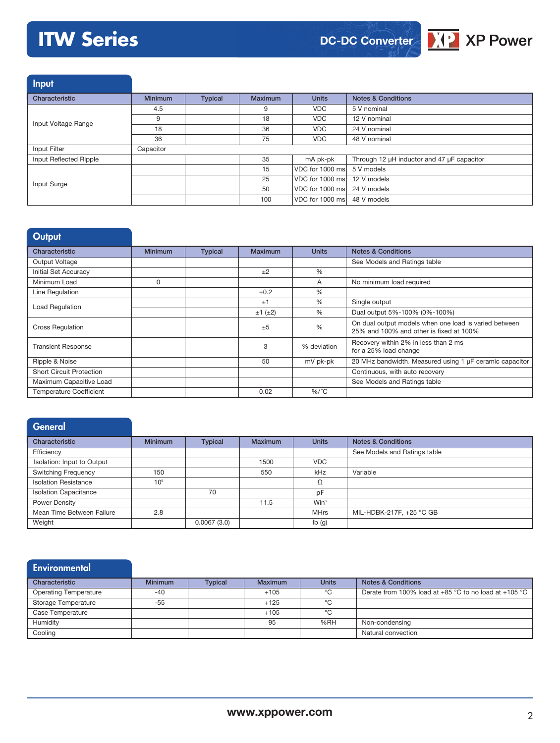# **ITW Series**



Input

| Characteristic         | <b>Minimum</b> | <b>Typical</b> | <b>Maximum</b> | <b>Units</b>                | <b>Notes &amp; Conditions</b>              |
|------------------------|----------------|----------------|----------------|-----------------------------|--------------------------------------------|
|                        | 4.5            |                | 9              | <b>VDC</b>                  | 5 V nominal                                |
| Input Voltage Range    | 9              |                | 18             | <b>VDC</b>                  | 12 V nominal                               |
|                        | 18             |                | 36             | <b>VDC</b>                  | 24 V nominal                               |
|                        | 36             |                | 75             | VDC.                        | 48 V nominal                               |
| Input Filter           | Capacitor      |                |                |                             |                                            |
| Input Reflected Ripple |                |                | 35             | mA pk-pk                    | Through 12 µH inductor and 47 µF capacitor |
|                        |                |                | 15             | VDC for 1000 ms             | 5 V models                                 |
| Input Surge            |                |                | 25             | VDC for 1000 ms 12 V models |                                            |
|                        |                |                | 50             | VDC for 1000 ms 24 V models |                                            |
|                        |                |                | 100            | VDC for 1000 ms 48 V models |                                            |

| Output                          |                |                |                |               |                                                                                                  |
|---------------------------------|----------------|----------------|----------------|---------------|--------------------------------------------------------------------------------------------------|
| Characteristic                  | <b>Minimum</b> | <b>Typical</b> | <b>Maximum</b> | <b>Units</b>  | <b>Notes &amp; Conditions</b>                                                                    |
| Output Voltage                  |                |                |                |               | See Models and Ratings table                                                                     |
| Initial Set Accuracy            |                |                | ±2             | $\frac{0}{0}$ |                                                                                                  |
| Minimum Load                    | 0              |                |                | A             | No minimum load required                                                                         |
| Line Regulation                 |                |                | ±0.2           | %             |                                                                                                  |
|                                 |                |                | ±1             | $\frac{0}{0}$ | Single output                                                                                    |
| Load Regulation                 |                |                | $±1$ ( $±2$ )  | $\frac{0}{0}$ | Dual output 5%-100% (0%-100%)                                                                    |
| <b>Cross Regulation</b>         |                |                | ±5             | $\frac{0}{0}$ | On dual output models when one load is varied between<br>25% and 100% and other is fixed at 100% |
| <b>Transient Response</b>       |                |                | 3              | % deviation   | Recovery within 2% in less than 2 ms<br>for a 25% load change                                    |
| Ripple & Noise                  |                |                | 50             | mV pk-pk      | 20 MHz bandwidth. Measured using 1 µF ceramic capacitor                                          |
| <b>Short Circuit Protection</b> |                |                |                |               | Continuous, with auto recovery                                                                   |
| Maximum Capacitive Load         |                |                |                |               | See Models and Ratings table                                                                     |
| <b>Temperature Coefficient</b>  |                |                | 0.02           | $%$ /°C       |                                                                                                  |

| <b>General</b>               |                 |                |                |                  |                               |
|------------------------------|-----------------|----------------|----------------|------------------|-------------------------------|
| Characteristic               | <b>Minimum</b>  | <b>Typical</b> | <b>Maximum</b> | <b>Units</b>     | <b>Notes &amp; Conditions</b> |
| Efficiency                   |                 |                |                |                  | See Models and Ratings table  |
| Isolation: Input to Output   |                 |                | 1500           | <b>VDC</b>       |                               |
| <b>Switching Frequency</b>   | 150             |                | 550            | kHz              | Variable                      |
| <b>Isolation Resistance</b>  | 10 <sup>9</sup> |                |                | Ω                |                               |
| <b>Isolation Capacitance</b> |                 | 70             |                | pF               |                               |
| Power Density                |                 |                | 11.5           | Win <sup>3</sup> |                               |
| Mean Time Between Failure    | 2.8             |                |                | <b>MHrs</b>      | MIL-HDBK-217F, +25 °C GB      |
| Weight                       |                 | 0.0067(3.0)    |                | Ib(g)            |                               |

| <b>Environmental</b>         |                |                |         |              |                                                           |
|------------------------------|----------------|----------------|---------|--------------|-----------------------------------------------------------|
| Characteristic               | <b>Minimum</b> | <b>Typical</b> | Maximum | <b>Units</b> | <b>Notes &amp; Conditions</b>                             |
| <b>Operating Temperature</b> | $-40$          |                | $+105$  | °C           | Derate from 100% load at $+85$ °C to no load at $+105$ °C |
| <b>Storage Temperature</b>   | $-55$          |                | $+125$  | °C           |                                                           |
| Case Temperature             |                |                | $+105$  | °C           |                                                           |
| Humidity                     |                |                | 95      | %RH          | Non-condensing                                            |
| Cooling                      |                |                |         |              | Natural convection                                        |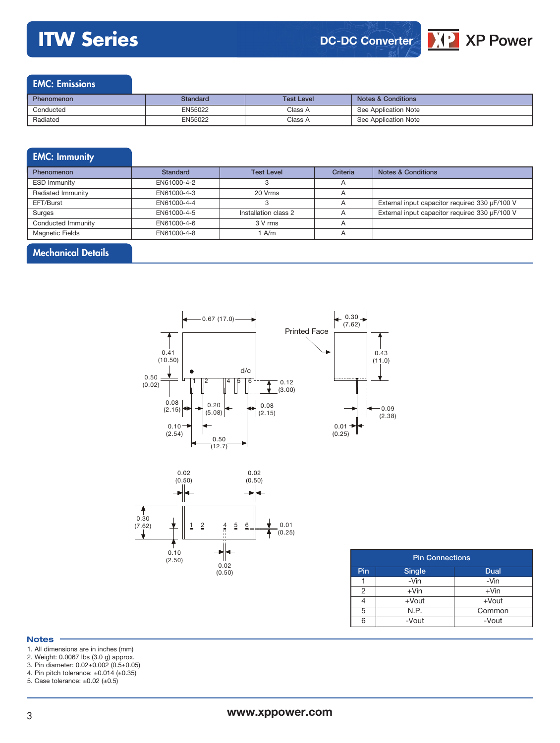## **ITW Series**





### EMC: Emissions

| <b>Phenomenon</b> | Standard | <b>Test Level</b> | <b>Notes &amp; Conditions</b> |
|-------------------|----------|-------------------|-------------------------------|
| Conducted         | EN55022  | Class A           | See Application Note          |
| Radiated          | EN55022  | Class A           | See Application Note          |

### EMC: Immunity Phenomenon **Standard** Test Level Criteria Notes & Conditions ESD Immunity **EN61000-4-2** 3 A Radiated Immunity **EN61000-4-3** 20 Vrms A EFT/Burst EN61000-4-4 | 3 A External input capacitor required 330 µF/100 V Surges EN61000-4-5 Installation class 2 A External input capacitor required 330 µF/100 V Conducted Immunity **EN61000-4-6** 3 V rms A Magnetic Fields **EN61000-4-8** 1 A/m A

### Mechanical Details





| <b>Pin Connections</b> |               |             |  |  |
|------------------------|---------------|-------------|--|--|
| Pin                    | <b>Single</b> | <b>Dual</b> |  |  |
|                        | -Vin          | -Vin        |  |  |
| 2                      | $+V$ in       | $+V$ in     |  |  |
|                        | $+$ Vout      | $+$ Vout    |  |  |
| 5                      | N.P.          | Common      |  |  |
| ิค                     | -Vout         | -Vout       |  |  |

#### **Notes**

1. All dimensions are in inches (mm)

- 2. Weight: 0.0067 lbs (3.0 g) approx.
- 3. Pin diameter: 0.02±0.002 (0.5±0.05)

4. Pin pitch tolerance: ±0.014 (±0.35)

5. Case tolerance: ±0.02 (±0.5)